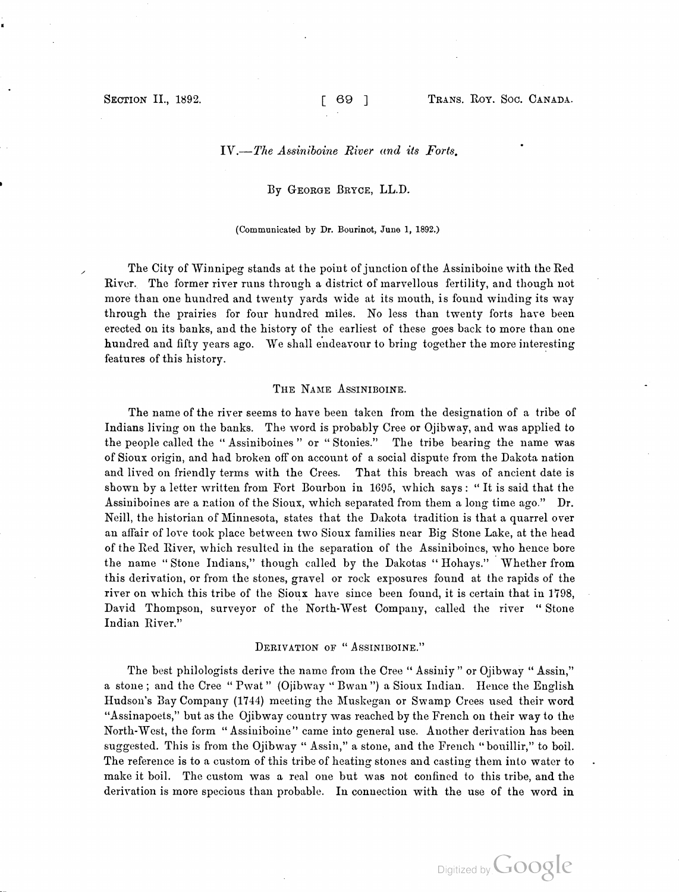### IV.—The Assiniboine River and its Forts.

#### By GEORGE BRYCE, LL.D.

#### (Communicated by Dr. Bourinot, June 1, 1892.)

The City of Winnipeg stands at the point of junction of the Assiniboine with the Red River. The former river runs through a district of marvellous fertility, and though not more than one hundred and twenty yards wide at its mouth, is found winding its way through the prairies for four hundred miles. No less than twenty forts have been erected on its banks, and the history of the earliest of these goes back to more than one hundred and fifty years ago. We shall endeavour to bring together the more interesting features of this history.

#### THE NAME ASSINIBOINE.

the people called the "Assiniboines" or "Stonies." The tribe bearing the name was The name of the river seems to have been taken from the designation of a tribe of Indians living on the banks. The word is probably Cree or Ojibway, and was applied to of Sioux origin , and had broken off on account of a social dispute from the Dakota nation and lived on friendly terms with the Crees. That this breach was of ancient date is shown by a letter written from Fort Bourbon in 1695, which says : " It is said that the Assiniboines are a nation of the Sioux, which separated from them a long time ago ." Dr. Neill, the historian of Minnesota, states that the Dakota tradition is that a quarrel over an affair of love took place between two Sioux families near Big Stone Lake, at the head of the Red River, which resulted in the separation of the Assiniboines, who hence bore the name " Stone Indians," though called by the Dakotas " Hohays." Whether from this derivation , or from the stones , gravel or rock exposures found at the rapids of the river on which this tribe of the Sioux have since been found, it is certain that in 1798, David Thompson, surveyor of the North- West Company, called the river " Stone Indian River."

## DERIVATION OF "ASSINIBOINE."

The best philologists derive the name from the Cree "Assiniy" or Ojibway "Assin," a stone; and the Cree " Pwat" (Ojibway " Bwan") a Sioux Indian. Hence the English Hudson's Bay Company ( 1744) meeting the Muskegan or Swamp Crees used their word " Assinapoets," but as the Ojibway country was reached by the French on their way to the North- West, the form " Assiniboine" came into general use. Another derivation has been suggested. This is from the Ojibway " Assin," a stone, and the French "bouillir," to boil. The reference is to a custom of this tribe of heating stones and casting them into water to make it boil. The custom was a real one but was not confined to this tribe, and the derivation is more specious than probable. In connection with the use of the word in

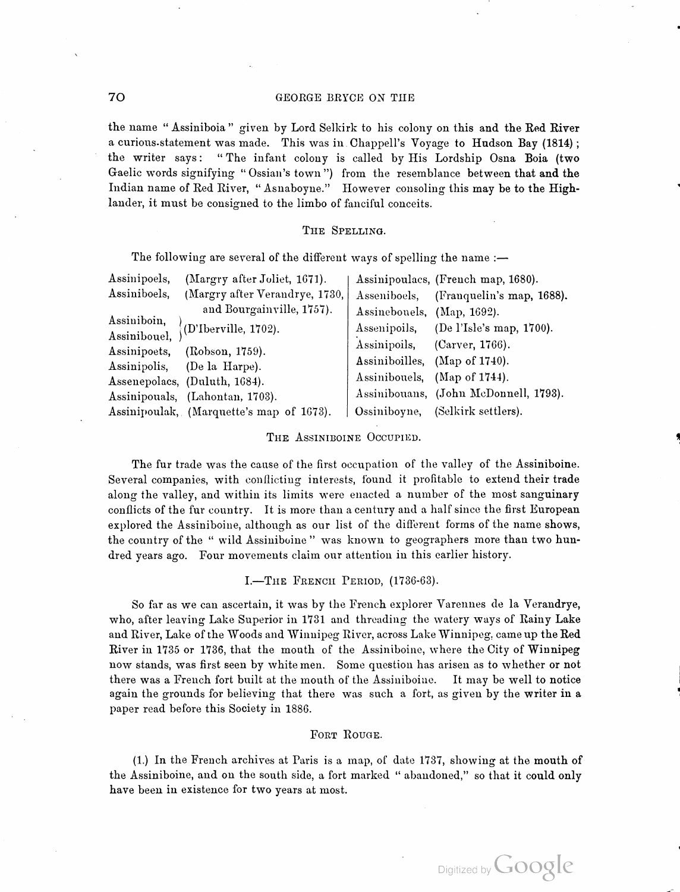the name " Assiniboia " given by Lord Selkirk to his colony on this and the Red River a curious statement was made. This was in Chappell's Voyage to Hudson Bay (1814); the writer says: "The infant colony is called by His Lordship Osna Boia (two Gaelic words signifying "Ossian's town") from the resemblance between that and the Indian name of Red River, "Asnaboyne." However consoling this may be to the Highlander, it must be consigned to the limbo of fanciful conceits.

## THE SPELLING.

The following are several of the different ways of spelling the name :-

| Assinipoels, | (Margry after Joliet, 1671).             |                            | Assinipoulacs, (French map, 1680).     |
|--------------|------------------------------------------|----------------------------|----------------------------------------|
| Assiniboels, | (Margry after Verandrye, 1730,           |                            | Asseniboels, (Franquelin's map, 1688). |
|              | and Bourgainville, 1757).                | Assinebouels, (Map, 1692). |                                        |
| Assiniboin,  | $($ D'Iberville, 1702).                  | Assenipoils,               | (De l'Isle's map, 1700).               |
| Assinibouel, |                                          | Assinipoils,               | (Carver, 1766).                        |
| Assinipoets, | (Robson, 1759).                          |                            | Assiniboilles, (Map of 1740).          |
| Assinipolis, | (De la Harpe).                           |                            | Assinibousls, (Map of 1744).           |
|              | Assenepolacs, (Duluth, 1684).            |                            |                                        |
|              | Assinipouals, (Lahontan, 1703).          |                            | Assinibouans, (John McDonnell, 1793).  |
|              | Assinipoulak, (Marquette's map of 1673). | Ossiniboyne,               | (Selkirk settlers).                    |

THE ASSINIBOINE OCCUPIED.

The fur trade was the cause of the first occupation of the valley of the Assiniboine. Several companies, with conflicting interests, found it profitable to extend their trade along the valley, and within its limits were enacted a number of the most sanguinary conflicts of the fur country. It is more than a century and a half since the first European explored the Assiniboine, although as our list of the different forms of the name shows, the country of the " wild Assiniboine " was known to geographers more than two hun dred years ago. Four movements claim our attention in this earlier history.

### I.-THE FRENCH PERIOD, (1736-63).

So far as we can ascertain, it was by the French explorer Varennes de la Verandrye, who, after leaving Lake Superior in 1731 and threading the watery ways of Rainy Lake and River, Lake of the Woods and Winnipeg River, across Lake Winnipeg: came up the Red River in 1735 or 1736, that the mouth of the Assiniboine, where the City of Winnipeg now stands, was first seen by white men. Some question has arisen as to whether or not there was a French fort built at the mouth of the Assiniboiae. It may be well to notice again the grounds for believing that there was such a fort, as given by the writer in a paper read before this Society in 1886.

#### FORT ROUGE.

(1.) In the French archives at Paris is a map, of date 1737, showing at the mouth of the Assiniboine, and on the south side, a fort marked " abandoned," so that it could only have been in existence for two years at most.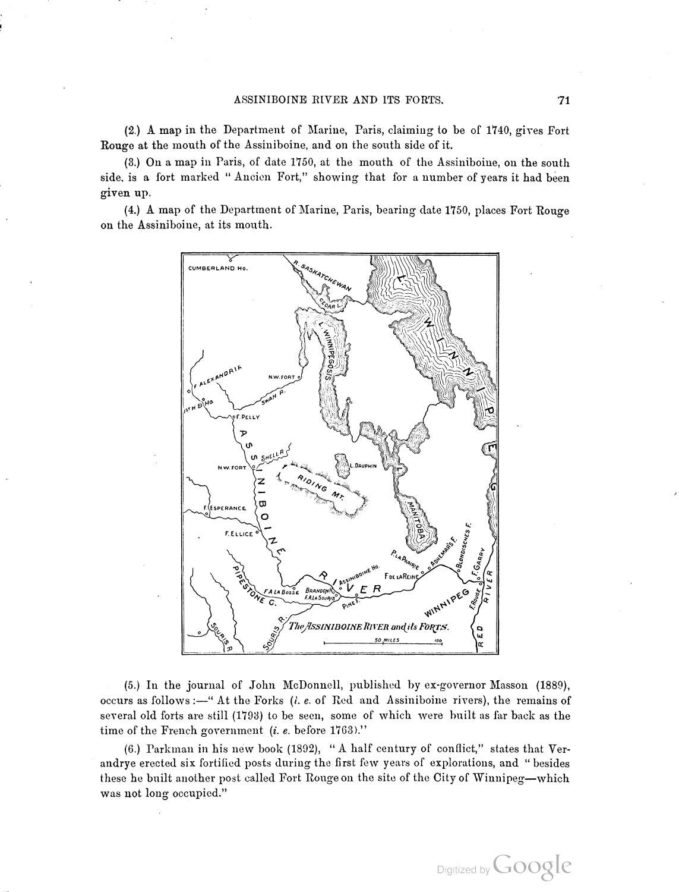( 2. ) A map in the Department of Marine, Paris, claiming to be of 1740, gives Fort Rouge at the mouth of the Assiniboine, and on the south side of it.

(3.) On a map in Paris, of date 1750, at the mouth of the Assiniboine, on the south side, is a fort marked "Ancien Fort," showing that for a number of years it had been given up.

(4.) A map of the Department of Marine, Paris, bearing date 1750, places Fort Rouge on the Assiniboine, at its mouth.



time of the French government (i. e. before 1763)." (5.) In the journal of John McDonnell, published by ex-governor Masson (1889), occurs as follows :—" At the Forks  $(i. e.$  of Red and Assiniboine rivers), the remains of several old forts are still (1793) to be seen, some of which were built as far back as the

(6.) Parkman in his new book (1892), "A half century of conflict," states that Verandrye erected six fortified posts during the first few years of explorations, and " besides these he built another post called Fort Rouge on the site of the City of Winnipeg-which was not long occupied."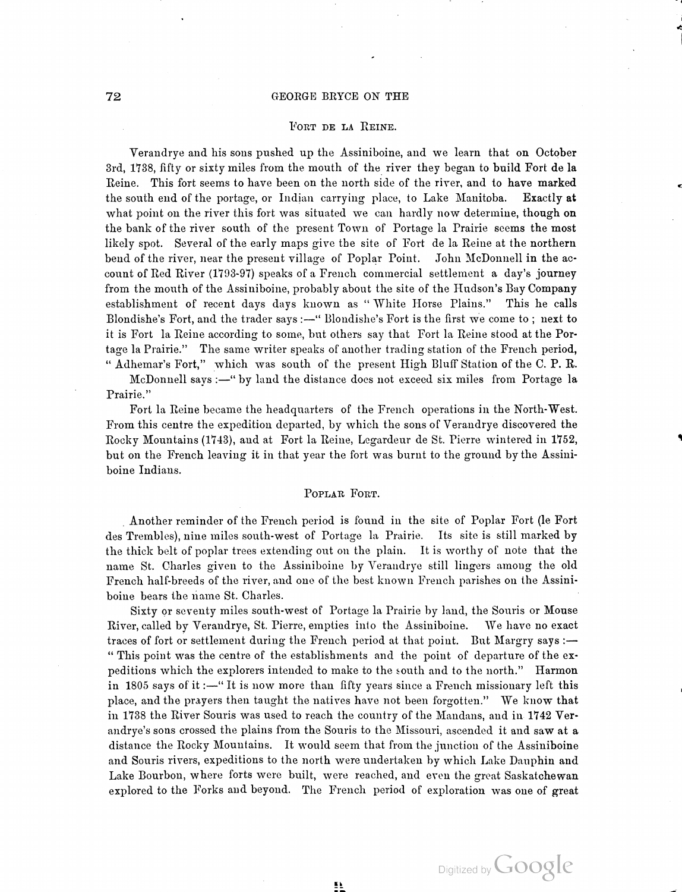#### FORT DE LA REINE.

Verandrye and his sons pushed up the Assiniboine, and we learn that on October 3rd, 1738, fifty or sixty miles from the mouth of the river they began to build Fort de la Reine . This fort seems to have been on the north side of the river, and to have marked the south end of the portage, or Indian carrying place, to Lake Manitoba. Exactly at what point on the river this fort was situated we can hardly now determine, though on the bank of the river south of the present Town of Portage la Prairie seems the most likely spot. Several of the early maps give the site of Fort de la Reine at the northern bend of the river, near the present village of Poplar Point. John McDonnell in the ac count of Red River (1793-97) speaks of a French commercial settlement a day's journey<br>from the mouth of the Assiniboine, probably about the site of the Hudson's Bay Company<br>establishment of recent days days known as "White Blondishe's Fort, and the trader says :- " Blondishe's Fort is the first we come to ; next to it is Fort la Reine according to some, but others say that Fort la Reine stood at the Por tage la Prairie." The same writer speaks of another trading station of the French period, " Adhemar's Fort," which was south of the present High Bluff Station of the C. P. R.

McDonnell says :—" by land the distance does not exceed six miles from Portage la Prairie. " >

Fort la Reine became the headquarters of the French operations in the North- West. From this centre the expedition departed, by which the sons of Verandrye discovered the Rocky Mountains (1743), and at Fort la Reine, Legardeur de St. Pierre wintered in 1752, but on the French leaving it in that year the fort was burnt to the ground by the Assini boine Indians.

#### POPLAR FORT.

Another reminder of the French period is found in the site of Poplar Fort (le Fort des Trembles), nine miles south-west of Portage la Prairie. Its site is still marked by the thick belt of poplar trees extending out on the plain. It is worthy of note that the name St. Charles given to the Assiniboine by Verandrye still lingers among the old French half-breeds of the river, and one of the best known French parishes on the Assini boine bears the name St. Charles.

Sixty or seventy miles south- west of Portage la Prairie by land, the Souris or Mouse River, called by Verandrye, St. Pierre , empties into the Assiniboine. We have no exact traces of fort or settlement during the French period at that point. But Margry says :-" This point was the centre of the establishments and the point of departure of the ex peditions which the explorers intended to make to the south and to the north." Harmon in 1805 says of it :—"It is now more than fifty years since a French missionary left this place, and the prayers then taught the natives have not been forgotten ." We know that in 1738 the River Souris was used to reach the country of the Mandans, and in 1742 Ver andrye's sons crossed the plains from the Souris to the Missouri, ascended it and saw at a distance the Rocky Mountains. It would seem that from the junction of the Assiniboine and Souris rivers, expeditions to the north were undertaken by which Lake Dauphin and Lake Bourbon, where forts were built, were reached, and eren the great Saskatchewan explored to the Forks and beyond. The French period of exploration was one of great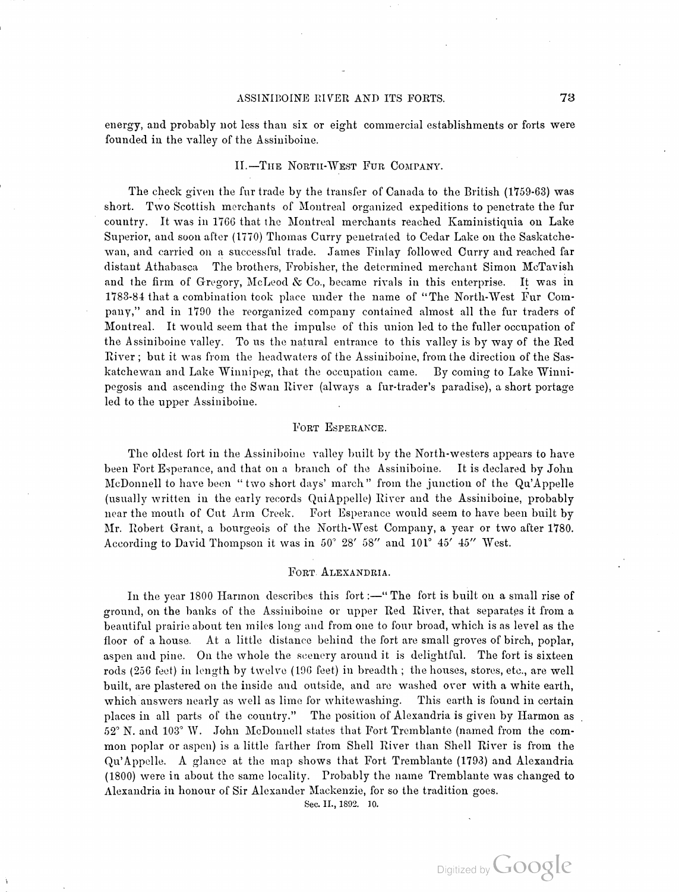## ASSINIBOINE RIVER AND ITS FORTS. 73

energy, and probably not less than six or eight commercial establishments or forts were founded in the valley of the Assiniboine.

## II.-THE NORTH-WEST FUR COMPANY.

The check given the fur trade by the transfer of Canada to the British (1759-63) was short. Two Scottish merchants of Montreal organized expeditions to penetrate the fur country . It was in 1766 that the Montreal merchants reached Kaministiquia on Lake Superior, and soon after (1770) Thomas Curry penetrated to Cedar Lake on the Saskatchewan, and carried on <sup>a</sup> successful trade. James Finlay followed Curry and reached far distant Athabasca The brothers, Frobisher, the determined merchant Simon McTavish and the firm of Gregory, McLeod & Co., became rivals in this enterprise. It was in 1783-84 that a combination took place under the name of "The North-West Fur Company, " and in 1790 the reorganized company contained almost all the fur traders of Montreal. It would seem that the impulse of this union led to the fuller occupation of the Assiniboine valley. To us the natural entrance to this valley is by way of the Red River ; but it was from the headwaters of the Assiniboine, from the direction of the Sas katchewan and Lake Winnipeg, that the occupation came. By coming to Lake Winni pegosis and ascending the Swan River (always a fur-trader's paradise), a short portage led to the upper Assiniboine.

## FORT ESPERANCE.

McDonnell to have been "two short days' march" from the junction of the Qu'Appelle The oldest fort in the Assiniboine valley built by the North-westers appears to have been Fort Esperance, and that on <sup>a</sup> branch of the Assiniboine. It is declared by John (usually written in the early records Qui Appelle) River and the Assiniboine, probably near the mouth of Cut Arm Creek. Fort Esperance would seem to have been built by Mr. Robert Grant, a bourgeois of the North -West Company, <sup>a</sup> year or two after 1780. According to David Thompson it was in 50° 28' 58" and 101° 45' 45" West.

## FORT ALEXANDRIA.

In the year 1800 Harmon describes this fort :- " The fort is built on a small rise of ground, on the banks of the Assiniboine or upper Red River, that separates it from <sup>a</sup> beautiful prairie about ten miles long and from one to four broad, which is as level as the floor of a house. At a little distance behind the fort are small groves of birch, poplar, aspen and pine. On the whole the scenery around it is delightful. The fort is sixteen rods (256 feet) in length by twelve (196 feet) in breadth; the houses, stores, etc., are well built, are plastered on the inside and outside, and are washed over with a white earth, which answers nearly as well as lime for whitewashing. This earth is found in certain places in all parts of the country." The position of Alexandria is given by Harmon as 52° N. and 103° W. John McDonnell states that Fort Tremblante (named from the common poplar or aspen) is a little farther from Shell River than Shell River is from the<br>Qu'Appelle. A glance at the map shows that Fort Tremblante (1793) and Alexandria ( 1800 ) were in about the same locality. Probably the name Tremblante was changed to Alexandria in honour of Sir Alexander Mackenzie, for so the tradition goes.

Sec. II., 1892. 10.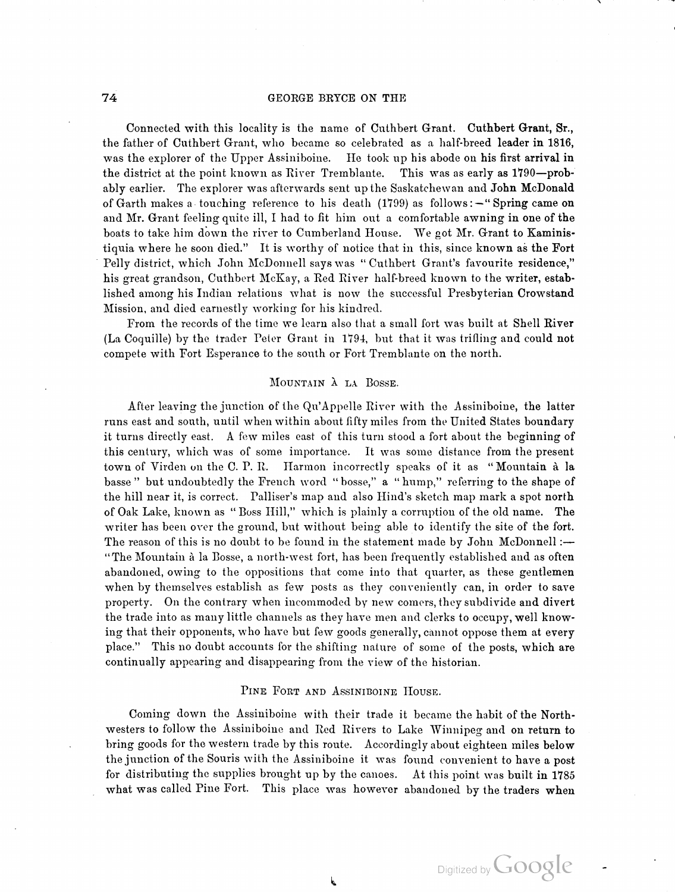of Garth makes a touching reference to his death (1799) as follows:-"Spring came on Connected with this locality is the name of Cuthbert Grant. Cuthbert Grant, Sr., the father of Cuthbert Grant, who became so celebrated as a half-breed leader in 1816, was the explorer of the Upper Assiniboine. He took up his abode on his first arrival in the district at the point known as River Tremblante. This was as early as 1790-probably earlier. The explorer was afterwards sent up the Saskatchewan and John McDonald and Mr. Grant feeling quite ill, I had to fit him out a comfortable awning in one of the boats to take him down the river to Cumberland House. We got Mr. Grant to Kaministiquia where he soon died." It is worthy of notice that in this, since known as the Fort Pelly district, which John McDonnell says was "Cuthbert Grant's favourite residence," his great grandson, Cuthbert McKay, a Red River half-breed known to the writer, established among his Indian relations what is now the successful Presbyterian Crowstand Mission, and died earnestly working for his kindred.

From the records of the time we learn also that <sup>a</sup> small fort was built at Shell River ( La Coquille) by the trader Peter Grant in 1794, but that it was trilling and could not compete with Fort Esperance to the south or Fort Tremblante on the north.

### MOUNTAIN À LA BOSSE.

After leaving the junction of the Qu'Appelle River with the Assiniboine, the latter runs east and south, until when within about fifty miles from the United States boundary it turns directly east. A few miles east of this turn stood a fort about the beginning of this century, which was of some importance. It was some distance from the present town of Virden on the C. P. R. Harmon incorrectly speaks of it as " Mountain <sup>à</sup> la basse " but undoubtedly the French word " bosse," <sup>a</sup> " hump," referring to the shape of the hill near it, is correct. Palliser's map and also Hind's sketch map mark a spot north of Oak Lake, known as " Boss Hill," which is plainly <sup>a</sup> corruption of the old name. The writer has been over the ground, but without being able to identify the site of the fort. The reason of this is no doubt to be found in the statement made by John McDonnell :-"The Mountain à la Bosse, a north-west fort, has been frequently established and as often abandoned, owing to the oppositions that come into that quarter, as these gentlemen when by themselves establish as few posts as they conveniently can, in order to save property. On the contrary when incommoded by new comers, they subdivide and divert the trade into as many little channels as they have men and clerks to <mark>o</mark>ccupy, well knowing that their opponents, who have but few goods generally, cannot oppose them at every place. " This no doubt accounts for the shifting nature of some of the posts, which are continually appearing and disappearing from the view of the historian.

### PINE FORT AND ASSINIBOINE HOUSE.

Coming down the Assiniboine with their trade it became the habit of the North westers to follow the Assiniboine and Red Rivers to Lake Winnipeg and on return to bring goods for the western trade by this route. Accordingly about eighteen miles below the junction of the Souris with the Assiniboine it was found convenient to have a post for distributing the supplies brought up by the canoes. At this point was built in 1785 what was called Pine Fort. This place was however abandoned by the traders when

h,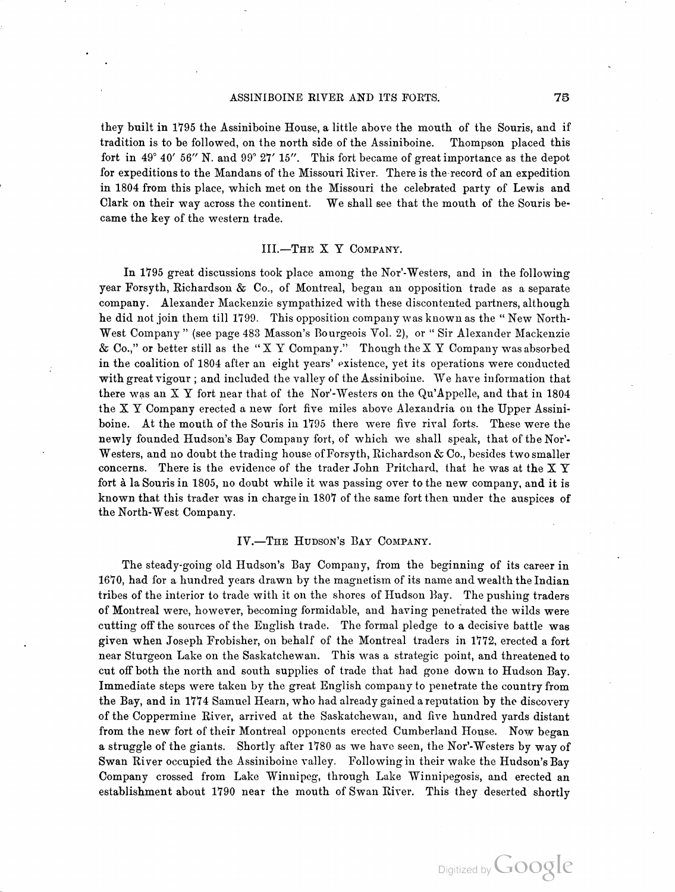#### ASSINIBOINE RIVER AND ITS FORTS. 75

they built in 1795 the Assiniboine House, a little above the mouth of the Souris, and if tradition is to be followed, on the north side of the Assiniboine. Thompson placed this fort in  $49^{\circ}$  40' 56" N. and  $99^{\circ}$  27' 15". This fort became of great importance as the depot for expeditions to the Mandans of the Missouri River. There is the record of an expedition in 1804 from this place, which met on the Missouri the celebrated party of Lewis and Clark on their way across the continent. We shall see that the mouth of the Souris be came the key of the western trade.

## III.-THE X Y COMPANY.

West Company " (see page 483 Masson's Bourgeois Vol. 2), or " Sir Alexander Mackenzie > 6 & Co. , ' or better still as the " <sup>X</sup> Y Company." Though the X Y Company was absorbed with great vigour; and included the valley of the Assiniboine. We have information that In 1795 great discussions took place among the Nor'-Westers, and in the following year Forsyth, Richardson & Co., of Montreal, began an opposition trade as a separate company. Alexander Mackenzie sympathized with these discontented partners, although he did not join them till 1799. This opposition company was known as the " New North in the coalition of 1804 after an eight years' existence, yet its operations were conducted there was an  $X$  Y fort near that of the Nor'-Westers on the Qu'Appelle, and that in 1804 the X Y Company erected <sup>a</sup> new fort five miles above Alexandria on the Upper Assini boine. At the mouth of the Souris in 1795 there were five rival forts. These were the newly founded Hudson's Bay Company fort, of which we shall speak, that of the Nor'-Westers, and no doubt the trading house of Forsyth, Richardson & Co. , besides two smaller concerns. There is the evidence of the trader John Pritchard, that he was at the  $X Y$ fort à la Souris in 1805, no doubt while it was passing over to the new company, and it is known that this trader was in charge in 1807 of the same fort then under the auspices of the North-West Company.

#### IV. —THE HUDSON'S BAY COMPANY.

The steady- going old Hudson's Bay Company, from the beginning of its career in 1670, had for a hundred years drawn by the magnetism of its name and wealth the Indian tribes of the interior to trade with it on the shores of Hudson Bay. The pushing traders of Montreal were, however, becoming formidable, and having penetrated the wilds were cutting off the sources of the English trade. The formal pledge to a decisive battle was given when Joseph Frobisher, on behalf of the Montreal traders in 1772, erected <sup>a</sup> fort near Sturgeon Lake on the Saskatchewan. This was a strategic point, and threatened to cut off both the north and south supplies of trade that had gone down to Hudson Bay. Immediate steps were taken by the great English company to penetrate the country from the Bay, and in 1774 Samuel Hearn, who had already gained <sup>a</sup> reputation by the discovery of the Coppermine River, arrived at the Saskatchewan , and five hundred yards distant from the new fort of their Montreal opponents erected Cumberland House. Now began a struggle of the giants. Shortly after 1780 as we have seen, the Nor'-Westers by way of Swan River occupied the Assiniboine valley. Following in their wake the Hudson's Bay Company crossed from Lake Winnipeg, through Lake Winnipegosis, and erected an establishment about 1790 near the mouth of Swan River. This they deserted shortly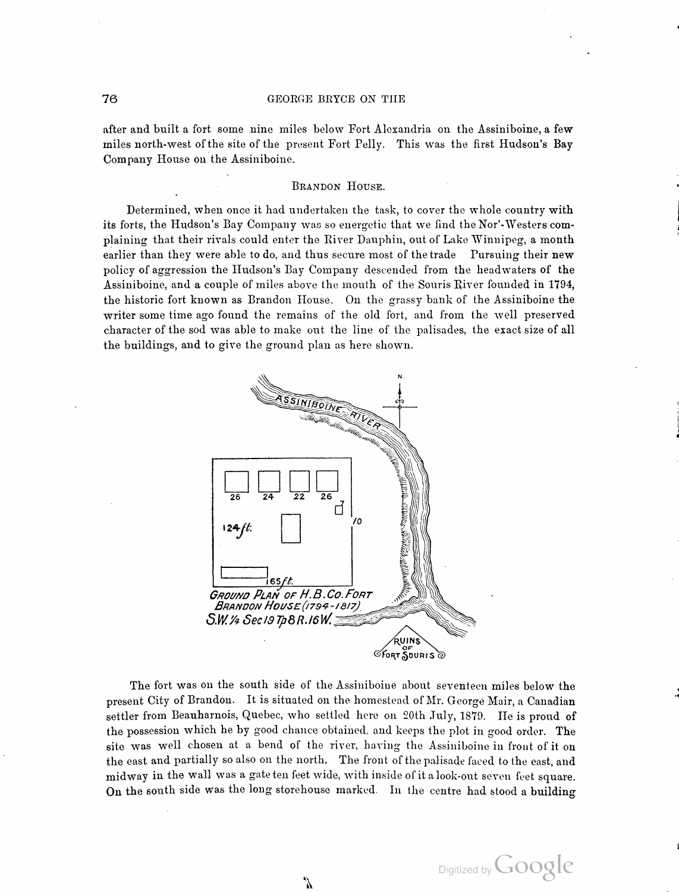after and built a fort some nine miles below Fort Alexandria on the Assiniboine, a few miles north-west of the site of the present Fort Pelly. This was the first Hudson's Bay Company House on the Assiniboine.

# BRANDON HOUSE.

Determined, when once it had undertaken the task, to cover the whole country with its forts, the Hudson's Bay Company was so energetic that we find the Nor' - Westers com plaining that their rivals could enter the River Dauphin, out of Lake Winnipeg, a month earlier than they were able to do, and thus secure most of the trade Pursuing their new policy of aggression the Hudson's Bay Company descended from the headwaters of the Assiniboine, and a couple of miles above the mouth of the Souris River founded in 1794, the historic fort known as Brandon House . On the grassy bank of the Assiniboine the writer some time ago found the remains of the old fort, and from the well preserved character of the sod was able to make out the line of the palisades, the exact size of all the buildings, and to give the ground plan as here shown.



The fort was on the south side of the Assiniboine about seventeen miles below the present City of Brandon. It is situated on the homestead of Mr. George Mair, a Canadian settler from Beauharnois, Quebec, who settled here on 20th July, 1879. He is proud of the possession which he by good chance obtained, and keeps the plot in good order. The site was well chosen at a bend of the river, having the Assiniboine in front of it on the east and partially so also on the north. The front of the palisade faced to the east, and midway in the wall was a gate ten feet wide, with inside of it a look-out seven feet square. On the south side was the long storehouse marked. In the centre had stood a building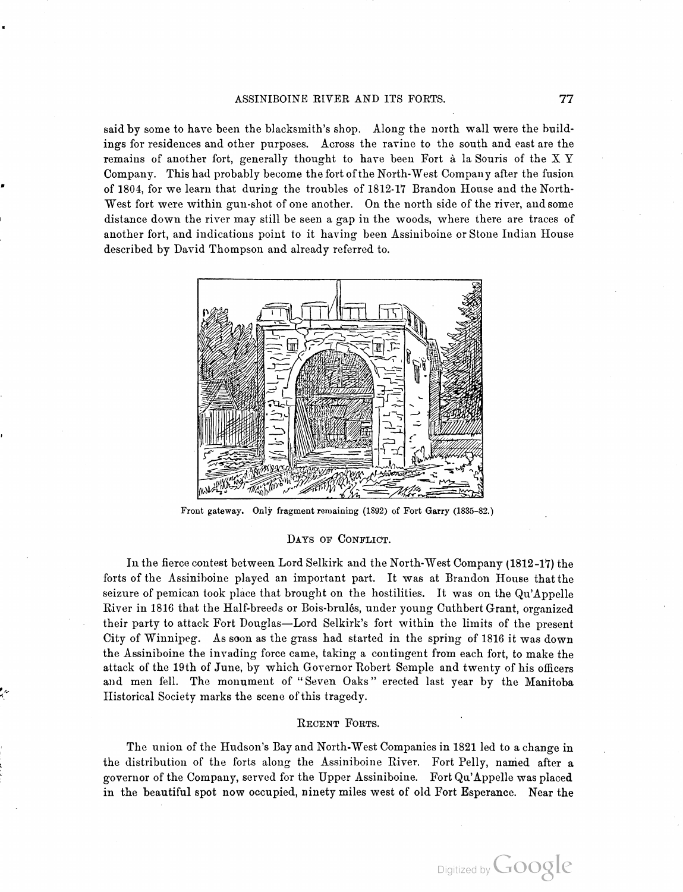said by some to have been the blacksmith's shop. Along the north wall were the buildings for residences and other purposes. Across the ravine to the south and east are the remains of another fort, generally thought to have been Fort <sup>à</sup> la Souris of the X Y Company. This had probably become the fort of the North- West Company after the fusion of 1804, for we learn that during the troubles of 1812-17 Brandon House and the North West fort were within gun-shot of one another. On the north side of the river, and some distance down the river may still be seen a gap in the woods, where there are traces of another fort, and indications point to it having been Assiniboine or Stone Indian House described by David Thompson and already referred to.



Front gateway. Only fragment remaining (1892) of Fort Garry (1835-82.)

## DAYS OF CONFLICT.

In the fierce contest between Lord Selkirk and the North- West Company ( 1812-17) the forts of the Assiniboine played an important part. It was at Brandon House that the seizure of pemican took place that brought on the hostilities. It was on the Qu'Appelle River in 1816 that the Half-breeds or Bois-brulés, under young Cuthbert Grant, organized their party to attack Fort Douglas-Lord Selkirk's fort within the limits of the present City of Winnipeg. As soon as the grass had started in the spring of <sup>1816</sup> it was down the Assiniboine the invading force came, taking <sup>a</sup> contingent from each fort, to make the attack of the 19th of June, by which Governor Robert Semple and twenty of his officers and men fell. The monument of " Seven Oaks" erected last year by the Manitoba Historical Society marks the scene of this tragedy.

### RECENT FORTS.

The union of the Hudson's Bay and North- West Companies in 1821 led to a change in the distribution of the forts along the Assiniboine River. Fort Pelly, named after a governor of the Company, served for the Upper Assiniboine. Fort Qu'Appelle was placed in the beautiful spot now occupied, ninety miles west of old Fort Esperance. Near the